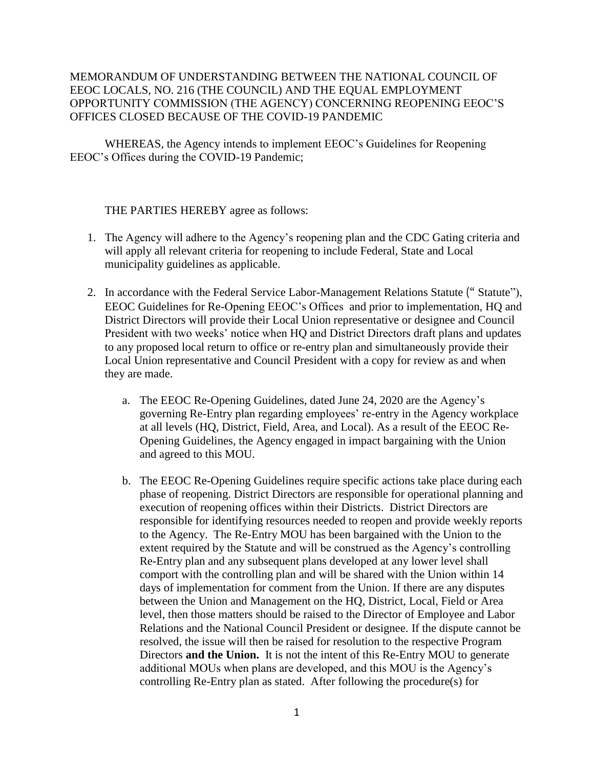## MEMORANDUM OF UNDERSTANDING BETWEEN THE NATIONAL COUNCIL OF EEOC LOCALS, NO. 216 (THE COUNCIL) AND THE EQUAL EMPLOYMENT OPPORTUNITY COMMISSION (THE AGENCY) CONCERNING REOPENING EEOC'S OFFICES CLOSED BECAUSE OF THE COVID-19 PANDEMIC

WHEREAS, the Agency intends to implement EEOC's Guidelines for Reopening EEOC's Offices during the COVID-19 Pandemic;

THE PARTIES HEREBY agree as follows:

- 1. The Agency will adhere to the Agency's reopening plan and the CDC Gating criteria and will apply all relevant criteria for reopening to include Federal, State and Local municipality guidelines as applicable.
- 2. In accordance with the Federal Service Labor-Management Relations Statute (" Statute"), EEOC Guidelines for Re-Opening EEOC's Offices and prior to implementation, HQ and District Directors will provide their Local Union representative or designee and Council President with two weeks' notice when HQ and District Directors draft plans and updates to any proposed local return to office or re-entry plan and simultaneously provide their Local Union representative and Council President with a copy for review as and when they are made.
	- a. The EEOC Re-Opening Guidelines, dated June 24, 2020 are the Agency's governing Re-Entry plan regarding employees' re-entry in the Agency workplace at all levels (HQ, District, Field, Area, and Local). As a result of the EEOC Re-Opening Guidelines, the Agency engaged in impact bargaining with the Union and agreed to this MOU.
	- b. The EEOC Re-Opening Guidelines require specific actions take place during each phase of reopening. District Directors are responsible for operational planning and execution of reopening offices within their Districts. District Directors are responsible for identifying resources needed to reopen and provide weekly reports to the Agency. The Re-Entry MOU has been bargained with the Union to the extent required by the Statute and will be construed as the Agency's controlling Re-Entry plan and any subsequent plans developed at any lower level shall comport with the controlling plan and will be shared with the Union within 14 days of implementation for comment from the Union. If there are any disputes between the Union and Management on the HQ, District, Local, Field or Area level, then those matters should be raised to the Director of Employee and Labor Relations and the National Council President or designee. If the dispute cannot be resolved, the issue will then be raised for resolution to the respective Program Directors **and the Union.** It is not the intent of this Re-Entry MOU to generate additional MOUs when plans are developed, and this MOU is the Agency's controlling Re-Entry plan as stated. After following the procedure(s) for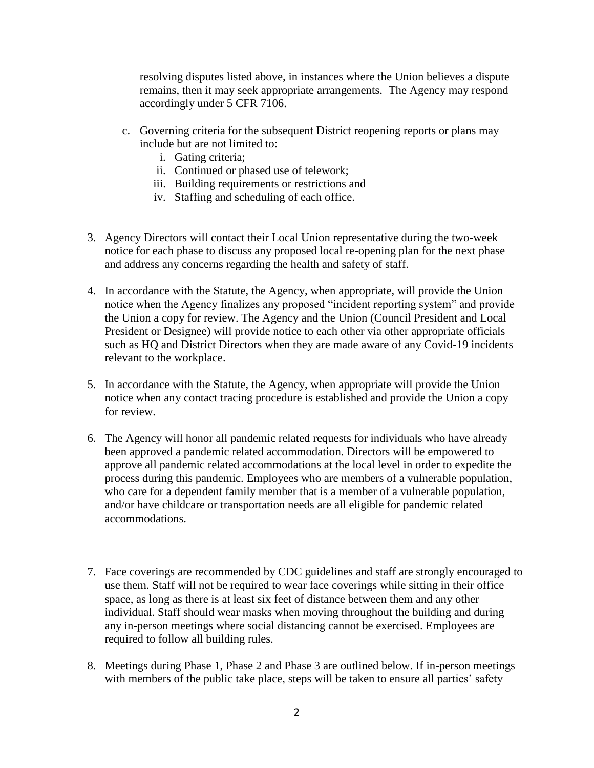resolving disputes listed above, in instances where the Union believes a dispute remains, then it may seek appropriate arrangements. The Agency may respond accordingly under 5 CFR 7106.

- c. Governing criteria for the subsequent District reopening reports or plans may include but are not limited to:
	- i. Gating criteria;
	- ii. Continued or phased use of telework;
	- iii. Building requirements or restrictions and
	- iv. Staffing and scheduling of each office.
- 3. Agency Directors will contact their Local Union representative during the two-week notice for each phase to discuss any proposed local re-opening plan for the next phase and address any concerns regarding the health and safety of staff.
- 4. In accordance with the Statute, the Agency, when appropriate, will provide the Union notice when the Agency finalizes any proposed "incident reporting system" and provide the Union a copy for review. The Agency and the Union (Council President and Local President or Designee) will provide notice to each other via other appropriate officials such as HQ and District Directors when they are made aware of any Covid-19 incidents relevant to the workplace.
- 5. In accordance with the Statute, the Agency, when appropriate will provide the Union notice when any contact tracing procedure is established and provide the Union a copy for review.
- 6. The Agency will honor all pandemic related requests for individuals who have already been approved a pandemic related accommodation. Directors will be empowered to approve all pandemic related accommodations at the local level in order to expedite the process during this pandemic. Employees who are members of a vulnerable population, who care for a dependent family member that is a member of a vulnerable population, and/or have childcare or transportation needs are all eligible for pandemic related accommodations.
- 7. Face coverings are recommended by CDC guidelines and staff are strongly encouraged to use them. Staff will not be required to wear face coverings while sitting in their office space, as long as there is at least six feet of distance between them and any other individual. Staff should wear masks when moving throughout the building and during any in-person meetings where social distancing cannot be exercised. Employees are required to follow all building rules.
- 8. Meetings during Phase 1, Phase 2 and Phase 3 are outlined below. If in-person meetings with members of the public take place, steps will be taken to ensure all parties' safety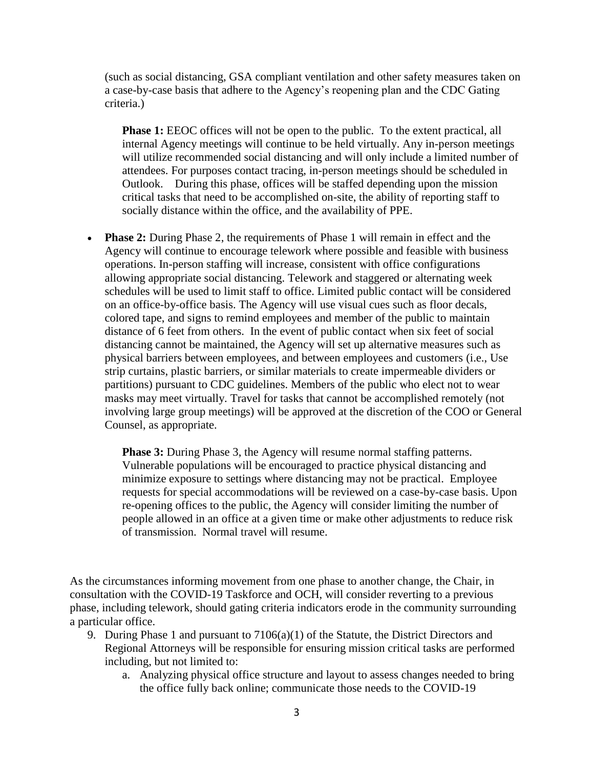(such as social distancing, GSA compliant ventilation and other safety measures taken on a case-by-case basis that adhere to the Agency's reopening plan and the CDC Gating criteria.)

**Phase 1:** EEOC offices will not be open to the public. To the extent practical, all internal Agency meetings will continue to be held virtually. Any in-person meetings will utilize recommended social distancing and will only include a limited number of attendees. For purposes contact tracing, in-person meetings should be scheduled in Outlook. During this phase, offices will be staffed depending upon the mission critical tasks that need to be accomplished on-site, the ability of reporting staff to socially distance within the office, and the availability of PPE.

• **Phase 2:** During Phase 2, the requirements of Phase 1 will remain in effect and the Agency will continue to encourage telework where possible and feasible with business operations. In-person staffing will increase, consistent with office configurations allowing appropriate social distancing. Telework and staggered or alternating week schedules will be used to limit staff to office. Limited public contact will be considered on an office-by-office basis. The Agency will use visual cues such as floor decals, colored tape, and signs to remind employees and member of the public to maintain distance of 6 feet from others. In the event of public contact when six feet of social distancing cannot be maintained, the Agency will set up alternative measures such as physical barriers between employees, and between employees and customers (i.e., Use strip curtains, plastic barriers, or similar materials to create impermeable dividers or partitions) pursuant to CDC guidelines. Members of the public who elect not to wear masks may meet virtually. Travel for tasks that cannot be accomplished remotely (not involving large group meetings) will be approved at the discretion of the COO or General Counsel, as appropriate.

**Phase 3:** During Phase 3, the Agency will resume normal staffing patterns. Vulnerable populations will be encouraged to practice physical distancing and minimize exposure to settings where distancing may not be practical. Employee requests for special accommodations will be reviewed on a case-by-case basis. Upon re-opening offices to the public, the Agency will consider limiting the number of people allowed in an office at a given time or make other adjustments to reduce risk of transmission. Normal travel will resume.

As the circumstances informing movement from one phase to another change, the Chair, in consultation with the COVID-19 Taskforce and OCH, will consider reverting to a previous phase, including telework, should gating criteria indicators erode in the community surrounding a particular office.

- 9. During Phase 1 and pursuant to 7106(a)(1) of the Statute, the District Directors and Regional Attorneys will be responsible for ensuring mission critical tasks are performed including, but not limited to:
	- a. Analyzing physical office structure and layout to assess changes needed to bring the office fully back online; communicate those needs to the COVID-19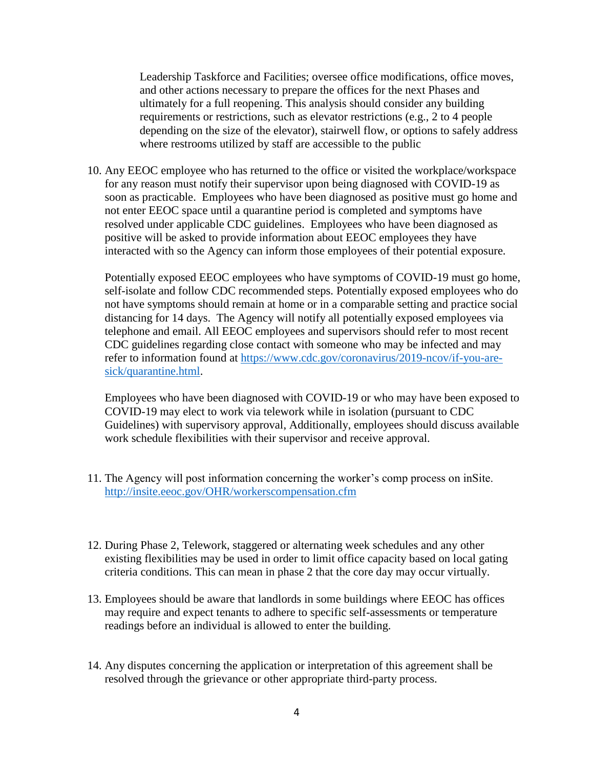Leadership Taskforce and Facilities; oversee office modifications, office moves, and other actions necessary to prepare the offices for the next Phases and ultimately for a full reopening. This analysis should consider any building requirements or restrictions, such as elevator restrictions (e.g., 2 to 4 people depending on the size of the elevator), stairwell flow, or options to safely address where restrooms utilized by staff are accessible to the public

10. Any EEOC employee who has returned to the office or visited the workplace/workspace for any reason must notify their supervisor upon being diagnosed with COVID-19 as soon as practicable. Employees who have been diagnosed as positive must go home and not enter EEOC space until a quarantine period is completed and symptoms have resolved under applicable CDC guidelines. Employees who have been diagnosed as positive will be asked to provide information about EEOC employees they have interacted with so the Agency can inform those employees of their potential exposure.

Potentially exposed EEOC employees who have symptoms of COVID-19 must go home, self-isolate and follow CDC recommended steps. Potentially exposed employees who do not have symptoms should remain at home or in a comparable setting and practice social distancing for 14 days. The Agency will notify all potentially exposed employees via telephone and email. All EEOC employees and supervisors should refer to most recent CDC guidelines regarding close contact with someone who may be infected and may refer to information found at [https://www.cdc.gov/coronavirus/2019-ncov/if-you-are](https://www.cdc.gov/coronavirus/2019-ncov/if-you-are-sick/quarantine.html)[sick/quarantine.html.](https://www.cdc.gov/coronavirus/2019-ncov/if-you-are-sick/quarantine.html)

Employees who have been diagnosed with COVID-19 or who may have been exposed to COVID-19 may elect to work via telework while in isolation (pursuant to CDC Guidelines) with supervisory approval, Additionally, employees should discuss available work schedule flexibilities with their supervisor and receive approval.

- 11. The Agency will post information concerning the worker's comp process on inSite. <http://insite.eeoc.gov/OHR/workerscompensation.cfm>
- 12. During Phase 2, Telework, staggered or alternating week schedules and any other existing flexibilities may be used in order to limit office capacity based on local gating criteria conditions. This can mean in phase 2 that the core day may occur virtually.
- 13. Employees should be aware that landlords in some buildings where EEOC has offices may require and expect tenants to adhere to specific self-assessments or temperature readings before an individual is allowed to enter the building.
- 14. Any disputes concerning the application or interpretation of this agreement shall be resolved through the grievance or other appropriate third-party process.